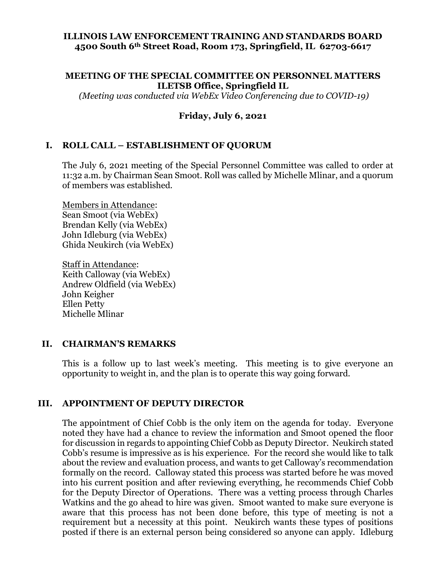## **ILLINOIS LAW ENFORCEMENT TRAINING AND STANDARDS BOARD 4500 South 6th Street Road, Room 173, Springfield, IL 62703-6617**

#### **MEETING OF THE SPECIAL COMMITTEE ON PERSONNEL MATTERS ILETSB Office, Springfield IL**

*(Meeting was conducted via WebEx Video Conferencing due to COVID-19)*

## **Friday, July 6, 2021**

## **I. ROLL CALL – ESTABLISHMENT OF QUORUM**

The July 6, 2021 meeting of the Special Personnel Committee was called to order at 11:32 a.m. by Chairman Sean Smoot. Roll was called by Michelle Mlinar, and a quorum of members was established.

Members in Attendance: Sean Smoot (via WebEx) Brendan Kelly (via WebEx) John Idleburg (via WebEx) Ghida Neukirch (via WebEx)

Staff in Attendance: Keith Calloway (via WebEx) Andrew Oldfield (via WebEx) John Keigher Ellen Petty Michelle Mlinar

## **II. CHAIRMAN'S REMARKS**

This is a follow up to last week's meeting. This meeting is to give everyone an opportunity to weight in, and the plan is to operate this way going forward.

## **III. APPOINTMENT OF DEPUTY DIRECTOR**

The appointment of Chief Cobb is the only item on the agenda for today. Everyone noted they have had a chance to review the information and Smoot opened the floor for discussion in regards to appointing Chief Cobb as Deputy Director. Neukirch stated Cobb's resume is impressive as is his experience. For the record she would like to talk about the review and evaluation process, and wants to get Calloway's recommendation formally on the record. Calloway stated this process was started before he was moved into his current position and after reviewing everything, he recommends Chief Cobb for the Deputy Director of Operations. There was a vetting process through Charles Watkins and the go ahead to hire was given. Smoot wanted to make sure everyone is aware that this process has not been done before, this type of meeting is not a requirement but a necessity at this point. Neukirch wants these types of positions posted if there is an external person being considered so anyone can apply. Idleburg